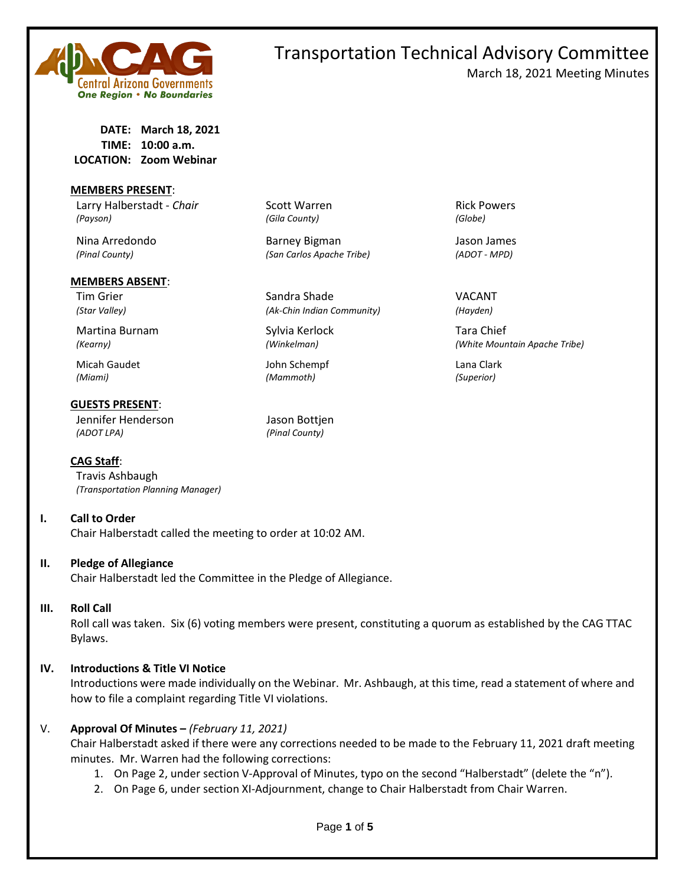

### Transportation Technical Advisory Committee March 18, 2021 Meeting Minutes

**DATE: March 18, 2021 TIME: 10:00 a.m. LOCATION: Zoom Webinar**

### **MEMBERS PRESENT**:

Larry Halberstadt - *Chair* Scott Warren **Rick Powers** Rick Powers *(Payson) (Gila County) (Globe)*

#### **MEMBERS ABSENT**:

Martina Burnam Sylvia Kerlock Tara Chief

Micah Gaudet John Schempf Lana Clark *(Miami) (Mammoth) (Superior)*

#### **GUESTS PRESENT**:

Jennifer Henderson Jason Bottjen *(ADOT LPA) (Pinal County)*

**CAG Staff**:

Travis Ashbaugh *(Transportation Planning Manager)*

### **I. Call to Order**

Chair Halberstadt called the meeting to order at 10:02 AM.

### **II. Pledge of Allegiance**

Chair Halberstadt led the Committee in the Pledge of Allegiance.

**III. Roll Call**

Roll call was taken. Six (6) voting members were present, constituting a quorum as established by the CAG TTAC Bylaws.

### **IV. Introductions & Title VI Notice**

Introductions were made individually on the Webinar. Mr. Ashbaugh, at this time, read a statement of where and how to file a complaint regarding Title VI violations.

### V. **Approval Of Minutes –** *(February 11, 2021)*

Chair Halberstadt asked if there were any corrections needed to be made to the February 11, 2021 draft meeting minutes. Mr. Warren had the following corrections:

- 1. On Page 2, under section V-Approval of Minutes, typo on the second "Halberstadt" (delete the "n").
- 2. On Page 6, under section XI-Adjournment, change to Chair Halberstadt from Chair Warren.

Nina Arredondo Barney Bigman Jason James *(Pinal County) (San Carlos Apache Tribe) (ADOT - MPD)*

Tim Grier National Sandra Shade Shade Charles Controller Shade Shade Shade Shade Shade Shade Shade Shade Shade Shade Shade Shade Shade Shade Shade Shade Shade Shade Shade Shade Shade Shade Shade Shade Shade Shade Shade Sha *(Star Valley) (Ak-Chin Indian Community) (Hayden)*

*(Kearny) (Winkelman) (White Mountain Apache Tribe)*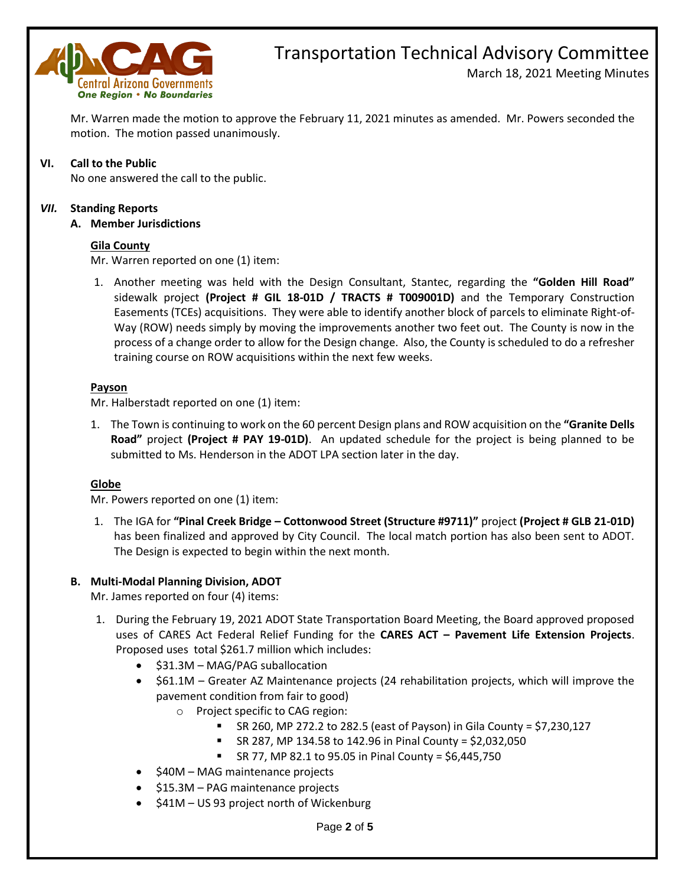

## Transportation Technical Advisory Committee

March 18, 2021 Meeting Minutes

Mr. Warren made the motion to approve the February 11, 2021 minutes as amended. Mr. Powers seconded the motion. The motion passed unanimously.

### **VI. Call to the Public**

No one answered the call to the public.

### *VII.* **Standing Reports**

### **A. Member Jurisdictions**

### **Gila County**

Mr. Warren reported on one (1) item:

1. Another meeting was held with the Design Consultant, Stantec, regarding the **"Golden Hill Road"**  sidewalk project **(Project # GIL 18-01D / TRACTS # T009001D)** and the Temporary Construction Easements (TCEs) acquisitions. They were able to identify another block of parcels to eliminate Right-of-Way (ROW) needs simply by moving the improvements another two feet out. The County is now in the process of a change order to allow for the Design change. Also, the County is scheduled to do a refresher training course on ROW acquisitions within the next few weeks.

### **Payson**

Mr. Halberstadt reported on one (1) item:

1. The Town is continuing to work on the 60 percent Design plans and ROW acquisition on the **"Granite Dells Road"** project **(Project # PAY 19-01D)**. An updated schedule for the project is being planned to be submitted to Ms. Henderson in the ADOT LPA section later in the day.

### **Globe**

Mr. Powers reported on one (1) item:

1. The IGA for **"Pinal Creek Bridge – Cottonwood Street (Structure #9711)"** project **(Project # GLB 21-01D)** has been finalized and approved by City Council. The local match portion has also been sent to ADOT. The Design is expected to begin within the next month.

### **B. Multi-Modal Planning Division, ADOT**

Mr. James reported on four (4) items:

- 1. During the February 19, 2021 ADOT State Transportation Board Meeting, the Board approved proposed uses of CARES Act Federal Relief Funding for the **CARES ACT – Pavement Life Extension Projects**. Proposed uses total \$261.7 million which includes:
	- \$31.3M MAG/PAG suballocation
	- \$61.1M Greater AZ Maintenance projects (24 rehabilitation projects, which will improve the pavement condition from fair to good)
		- o Project specific to CAG region:
			- SR 260, MP 272.2 to 282.5 (east of Payson) in Gila County = \$7,230,127
			- SR 287, MP 134.58 to 142.96 in Pinal County = \$2,032,050
			- SR 77, MP 82.1 to 95.05 in Pinal County = \$6,445,750
	- \$40M MAG maintenance projects
	- \$15.3M PAG maintenance projects
	- \$41M US 93 project north of Wickenburg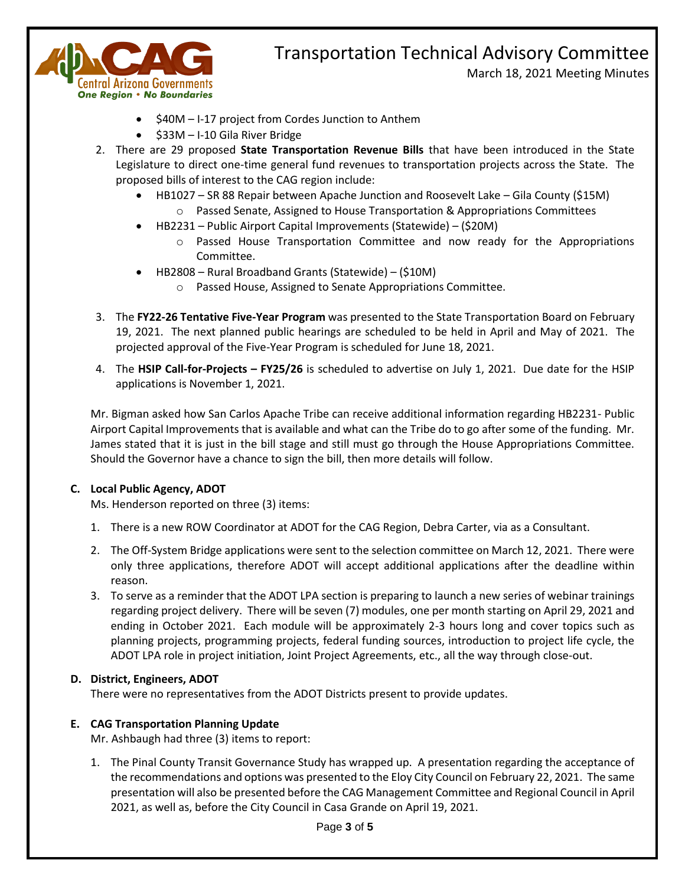

# Transportation Technical Advisory Committee

March 18, 2021 Meeting Minutes

- \$40M I-17 project from Cordes Junction to Anthem
- \$33M I-10 Gila River Bridge
- 2. There are 29 proposed **State Transportation Revenue Bills** that have been introduced in the State Legislature to direct one-time general fund revenues to transportation projects across the State. The proposed bills of interest to the CAG region include:
	- HB1027 SR 88 Repair between Apache Junction and Roosevelt Lake Gila County (\$15M)
		- $\circ$  Passed Senate, Assigned to House Transportation & Appropriations Committees
	- HB2231 Public Airport Capital Improvements (Statewide) (\$20M)
		- o Passed House Transportation Committee and now ready for the Appropriations Committee.
	- HB2808 Rural Broadband Grants (Statewide) (\$10M)
		- o Passed House, Assigned to Senate Appropriations Committee.
- 3. The **FY22-26 Tentative Five-Year Program** was presented to the State Transportation Board on February 19, 2021. The next planned public hearings are scheduled to be held in April and May of 2021. The projected approval of the Five-Year Program is scheduled for June 18, 2021.
- 4. The **HSIP Call-for-Projects – FY25/26** is scheduled to advertise on July 1, 2021. Due date for the HSIP applications is November 1, 2021.

Mr. Bigman asked how San Carlos Apache Tribe can receive additional information regarding HB2231- Public Airport Capital Improvements that is available and what can the Tribe do to go after some of the funding. Mr. James stated that it is just in the bill stage and still must go through the House Appropriations Committee. Should the Governor have a chance to sign the bill, then more details will follow.

### **C. Local Public Agency, ADOT**

Ms. Henderson reported on three (3) items:

- 1. There is a new ROW Coordinator at ADOT for the CAG Region, Debra Carter, via as a Consultant.
- 2. The Off-System Bridge applications were sent to the selection committee on March 12, 2021. There were only three applications, therefore ADOT will accept additional applications after the deadline within reason.
- 3. To serve as a reminder that the ADOT LPA section is preparing to launch a new series of webinar trainings regarding project delivery. There will be seven (7) modules, one per month starting on April 29, 2021 and ending in October 2021. Each module will be approximately 2-3 hours long and cover topics such as planning projects, programming projects, federal funding sources, introduction to project life cycle, the ADOT LPA role in project initiation, Joint Project Agreements, etc., all the way through close-out.

### **D. District, Engineers, ADOT**

There were no representatives from the ADOT Districts present to provide updates.

### **E. CAG Transportation Planning Update**

Mr. Ashbaugh had three (3) items to report:

1. The Pinal County Transit Governance Study has wrapped up. A presentation regarding the acceptance of the recommendations and options was presented to the Eloy City Council on February 22, 2021. The same presentation will also be presented before the CAG Management Committee and Regional Council in April 2021, as well as, before the City Council in Casa Grande on April 19, 2021.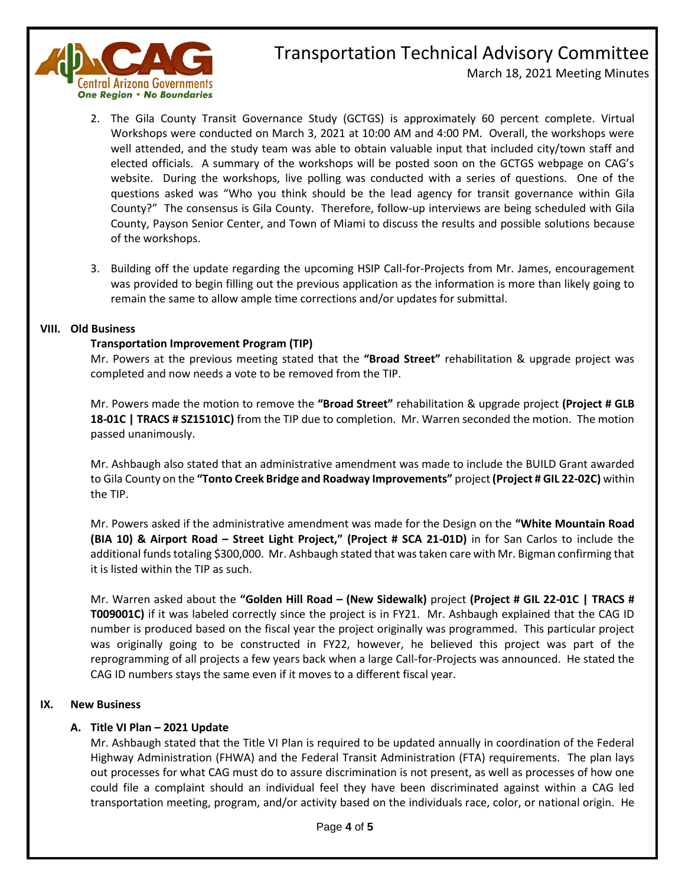

### Transportation Technical Advisory Committee March 18, 2021 Meeting Minutes

- 2. The Gila County Transit Governance Study (GCTGS) is approximately 60 percent complete. Virtual Workshops were conducted on March 3, 2021 at 10:00 AM and 4:00 PM. Overall, the workshops were well attended, and the study team was able to obtain valuable input that included city/town staff and elected officials. A summary of the workshops will be posted soon on the GCTGS webpage on CAG's website. During the workshops, live polling was conducted with a series of questions. One of the questions asked was "Who you think should be the lead agency for transit governance within Gila County?" The consensus is Gila County. Therefore, follow-up interviews are being scheduled with Gila County, Payson Senior Center, and Town of Miami to discuss the results and possible solutions because of the workshops.
- 3. Building off the update regarding the upcoming HSIP Call-for-Projects from Mr. James, encouragement was provided to begin filling out the previous application as the information is more than likely going to remain the same to allow ample time corrections and/or updates for submittal.

### **VIII. Old Business**

### **Transportation Improvement Program (TIP)**

Mr. Powers at the previous meeting stated that the **"Broad Street"** rehabilitation & upgrade project was completed and now needs a vote to be removed from the TIP.

Mr. Powers made the motion to remove the **"Broad Street"** rehabilitation & upgrade project **(Project # GLB 18-01C | TRACS # SZ15101C)** from the TIP due to completion. Mr. Warren seconded the motion. The motion passed unanimously.

Mr. Ashbaugh also stated that an administrative amendment was made to include the BUILD Grant awarded to Gila County on the **"Tonto Creek Bridge and Roadway Improvements"** project **(Project # GIL 22-02C)** within the TIP.

Mr. Powers asked if the administrative amendment was made for the Design on the **"White Mountain Road (BIA 10) & Airport Road – Street Light Project," (Project # SCA 21-01D)** in for San Carlos to include the additional funds totaling \$300,000. Mr. Ashbaugh stated that was taken care with Mr. Bigman confirming that it is listed within the TIP as such.

Mr. Warren asked about the **"Golden Hill Road – (New Sidewalk)** project **(Project # GIL 22-01C | TRACS # T009001C)** if it was labeled correctly since the project is in FY21. Mr. Ashbaugh explained that the CAG ID number is produced based on the fiscal year the project originally was programmed. This particular project was originally going to be constructed in FY22, however, he believed this project was part of the reprogramming of all projects a few years back when a large Call-for-Projects was announced. He stated the CAG ID numbers stays the same even if it moves to a different fiscal year.

### **IX. New Business**

### **A. Title VI Plan – 2021 Update**

Mr. Ashbaugh stated that the Title VI Plan is required to be updated annually in coordination of the Federal Highway Administration (FHWA) and the Federal Transit Administration (FTA) requirements. The plan lays out processes for what CAG must do to assure discrimination is not present, as well as processes of how one could file a complaint should an individual feel they have been discriminated against within a CAG led transportation meeting, program, and/or activity based on the individuals race, color, or national origin. He